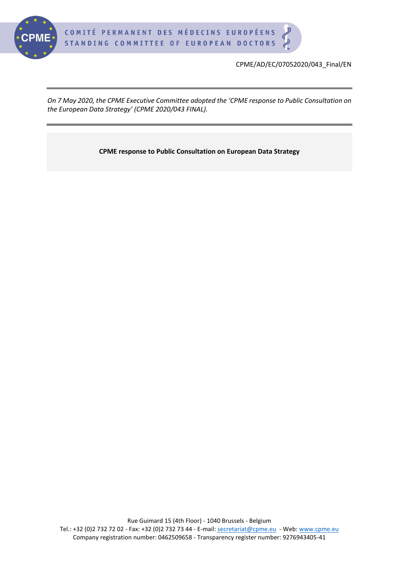

CPME/AD/EC/07052020/043\_Final/EN

*On 7 May 2020, the CPME Executive Committee adopted the 'CPME response to Public Consultation on the European Data Strategy' (CPME 2020/043 FINAL).*

**CPME response to Public Consultation on European Data Strategy**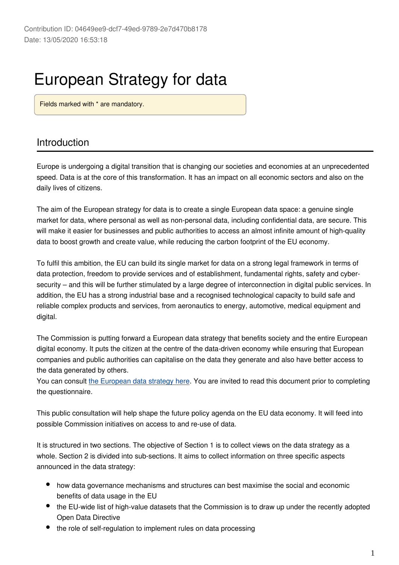# European Strategy for data

Fields marked with \* are mandatory.

# Introduction

Europe is undergoing a digital transition that is changing our societies and economies at an unprecedented speed. Data is at the core of this transformation. It has an impact on all economic sectors and also on the daily lives of citizens.

The aim of the European strategy for data is to create a single European data space: a genuine single market for data, where personal as well as non-personal data, including confidential data, are secure. This will make it easier for businesses and public authorities to access an almost infinite amount of high-quality data to boost growth and create value, while reducing the carbon footprint of the EU economy.

To fulfil this ambition, the EU can build its single market for data on a strong legal framework in terms of data protection, freedom to provide services and of establishment, fundamental rights, safety and cybersecurity – and this will be further stimulated by a large degree of interconnection in digital public services. In addition, the EU has a strong industrial base and a recognised technological capacity to build safe and reliable complex products and services, from aeronautics to energy, automotive, medical equipment and digital.

The Commission is putting forward a European data strategy that benefits society and the entire European digital economy. It puts the citizen at the centre of the data-driven economy while ensuring that European companies and public authorities can capitalise on the data they generate and also have better access to the data generated by others.

You can consult [the European data strategy here](https://ec.europa.eu/info/strategy/priorities-2019-2024/europe-fit-digital-age/european-data-strategy). You are invited to read this document prior to completing the questionnaire.

This public consultation will help shape the future policy agenda on the EU data economy. It will feed into possible Commission initiatives on access to and re-use of data.

It is structured in two sections. The objective of Section 1 is to collect views on the data strategy as a whole. Section 2 is divided into sub-sections. It aims to collect information on three specific aspects announced in the data strategy:

- how data governance mechanisms and structures can best maximise the social and economic benefits of data usage in the EU
- the EU-wide list of high-value datasets that the Commission is to draw up under the recently adopted Open Data Directive
- the role of self-regulation to implement rules on data processing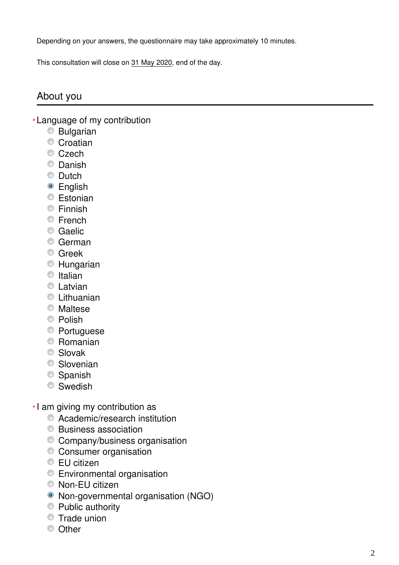Depending on your answers, the questionnaire may take approximately 10 minutes.

This consultation will close on 31 May 2020, end of the day.

# About you

- Language of my contribution **\***
	- Bulgarian
	- Croatian
	- Czech
	- Danish
	- **Dutch**
	- English
	- **Estonian**
	- Finnish
	- **Erench**
	- Caelic
	- German
	- **C** Greek
	- Hungarian
	- $\circ$  Italian
	- **C** Latvian
	- **C** Lithuanian
	- Maltese
	- <sup>O</sup> Polish
	- **Portuguese**
	- Romanian
	- Slovak
	- **Slovenian**
	- <sup>O</sup> Spanish
	- Swedish
- I am giving my contribution as **\***
	- Academic/research institution
	- Business association
	- Company/business organisation
	- Consumer organisation
	- **EU** citizen
	- Environmental organisation
	- Non-EU citizen
	- Non-governmental organisation (NGO)
	- Public authority
	- **Trade union**
	- C Other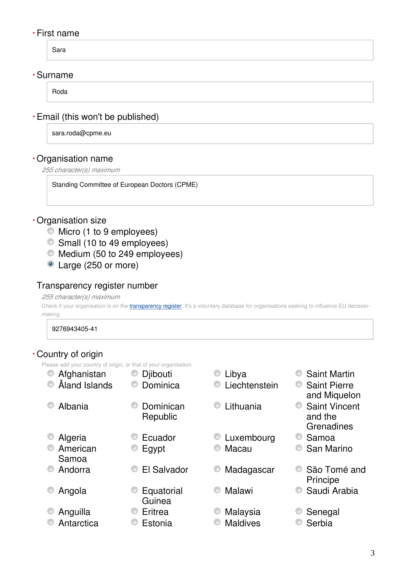#### First name **\***

Sara

#### Surname **\***

Roda

# Email (this won't be published) **\***

sara.roda@cpme.eu

## Organisation name **\***

*255 character(s) maximum*

Standing Committee of European Doctors (CPME)

#### Organisation size **\***

- $\bullet$  Micro (1 to 9 employees)
- Small (10 to 49 employees)
- $\bullet$  Medium (50 to 249 employees)
- Large (250 or more)

#### Transparency register number

#### *255 character(s) maximum*

Check if your organisation is on the *[transparency register](http://ec.europa.eu/transparencyregister/public/homePage.do?redir=false&locale=en)*. It's a voluntary database for organisations seeking to influence EU decisionmaking.

#### 9276943405-41

#### Country of origin **\***

Please add your country of origin, or that of your organisation.

| 0              | Afghanistan       | Djibouti<br>C         | O | Libya             | O | <b>Saint Martin</b>                           |
|----------------|-------------------|-----------------------|---|-------------------|---|-----------------------------------------------|
| O              | Åland Islands     | Dominica              |   | Liechtenstein     | O | <b>Saint Pierre</b><br>and Miquelon           |
| $\circledcirc$ | Albania           | Dominican<br>Republic | O | Lithuania         | O | <b>Saint Vincent</b><br>and the<br>Grenadines |
| O              | Algeria           | Ecuador               |   | <b>Luxembourg</b> |   | Samoa                                         |
| $\circledcirc$ | American<br>Samoa | Egypt                 |   | Macau             |   | San Marino                                    |
| $\circledcirc$ | Andorra           | El Salvador<br>O      | O | Madagascar        |   | São Tomé and<br>Príncipe                      |
| $\circledcirc$ | Angola            | Equatorial<br>Guinea  |   | Malawi            |   | Saudi Arabia                                  |
| O              | Anguilla          | Eritrea               |   | Malaysia          |   | Senegal                                       |
| O              | Antarctica        | Estonia               | O | <b>Maldives</b>   |   | Serbia                                        |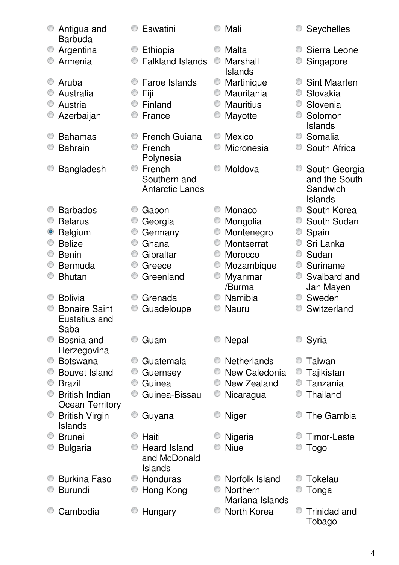|   | Antigua and<br><b>Barbuda</b> |   | Eswatini                |   | Mali                        |        | <b>Seychelles</b>         |
|---|-------------------------------|---|-------------------------|---|-----------------------------|--------|---------------------------|
| O | Argentina                     |   | Ethiopia                |   | Malta                       |        | Sierra Leone              |
|   | Armenia                       |   | <b>Falkland Islands</b> |   | Marshall                    |        | Singapore                 |
|   |                               |   |                         |   | Islands                     |        |                           |
|   | Aruba                         |   | Faroe Islands           |   | Martinique                  |        | <b>Sint Maarten</b>       |
|   | Australia                     |   | Fiji                    |   | Mauritania                  | O      | Slovakia                  |
|   | Austria                       |   | Finland                 | O | <b>Mauritius</b>            | O      | Slovenia                  |
|   | Azerbaijan                    |   | France                  |   | Mayotte                     |        | Solomon                   |
|   |                               |   |                         |   |                             |        | <b>Islands</b>            |
|   | <b>Bahamas</b>                |   | <b>French Guiana</b>    |   | Mexico                      | O      | Somalia                   |
|   | <b>Bahrain</b>                |   | French                  |   | Micronesia                  |        | South Africa              |
|   |                               |   | Polynesia               |   |                             |        |                           |
|   | <b>Bangladesh</b>             | O | French                  |   | Moldova                     |        | South Georgia             |
|   |                               |   | Southern and            |   |                             |        | and the South             |
|   |                               |   | <b>Antarctic Lands</b>  |   |                             |        | Sandwich                  |
|   |                               |   |                         |   |                             | O      | <b>Islands</b>            |
|   | <b>Barbados</b>               |   | Gabon                   |   | Monaco                      |        | South Korea               |
|   | <b>Belarus</b>                |   | Georgia                 |   | Mongolia                    |        | South Sudan               |
|   | <b>Belgium</b>                | ⊙ | Germany                 | 0 | Montenegro                  | O      | Spain                     |
|   | <b>Belize</b>                 | O | Ghana                   |   | Montserrat                  |        | Sri Lanka                 |
|   | <b>Benin</b>                  | O | Gibraltar               |   | Morocco                     | O<br>O | Sudan                     |
|   | <b>Bermuda</b>                |   | Greece                  |   | Mozambique                  | O      | Suriname                  |
|   | <b>Bhutan</b>                 |   | Greenland               |   | Myanmar<br>/Burma           |        | Svalbard and<br>Jan Mayen |
|   | <b>Bolivia</b>                |   | Grenada                 |   | Namibia                     | O      | Sweden                    |
|   | <b>Bonaire Saint</b>          |   | Guadeloupe              |   | Nauru                       |        | Switzerland               |
|   | Eustatius and                 |   |                         |   |                             |        |                           |
|   | Saba                          |   |                         |   |                             |        |                           |
|   | Bosnia and                    |   | Guam                    |   | <b>Nepal</b>                |        | Syria                     |
|   | Herzegovina                   |   |                         |   |                             |        |                           |
| O | <b>Botswana</b>               |   | Guatemala               |   | <b>Netherlands</b>          |        | Taiwan                    |
|   | <b>Bouvet Island</b>          | O | Guernsey                |   | New Caledonia               |        | Tajikistan                |
|   | <b>Brazil</b>                 | O | Guinea                  |   | New Zealand                 | 0      | Tanzania                  |
|   | <b>British Indian</b>         |   | Guinea-Bissau           |   | Nicaragua                   |        | <b>Thailand</b>           |
|   | <b>Ocean Territory</b>        |   |                         |   |                             |        |                           |
| O | <b>British Virgin</b>         | O | Guyana                  |   | <b>Niger</b>                |        | The Gambia                |
|   | <b>Islands</b>                |   |                         |   |                             |        |                           |
|   | <b>Brunei</b>                 |   | Haiti                   |   | Nigeria                     |        | Timor-Leste               |
|   | <b>Bulgaria</b>               |   | <b>Heard Island</b>     |   | <b>Niue</b>                 |        | Togo                      |
|   |                               |   | and McDonald            |   |                             |        |                           |
|   |                               |   | <b>Islands</b>          |   |                             |        |                           |
|   | <b>Burkina Faso</b>           | O | Honduras                |   | Norfolk Island              |        | Tokelau                   |
|   | <b>Burundi</b>                |   | Hong Kong               |   | Northern<br>Mariana Islands |        | Tonga                     |
|   | Cambodia                      |   | Hungary                 |   | North Korea                 | 0      | <b>Trinidad and</b>       |
|   |                               |   |                         |   |                             |        | Tobago                    |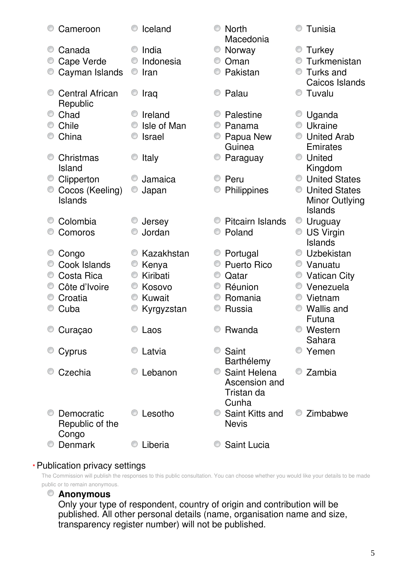| Cameroon               | Iceland            | <b>North</b><br>Macedonia    | Tunisia                     |
|------------------------|--------------------|------------------------------|-----------------------------|
| O<br>Canada            | India              | O<br>Norway                  | Turkey                      |
| Cape Verde             | Indonesia          | Oman                         | Turkmenistan                |
| Cayman Islands         | Iran<br>O          | Pakistan                     | Turks and<br>O              |
|                        |                    |                              | Caicos Islands              |
| <b>Central African</b> | Iraq               | Palau                        | Tuvalu                      |
| Republic<br>Chad       | Ireland            | Palestine                    | Uganda                      |
| Chile                  | Isle of Man        | Panama                       | Ukraine                     |
| China                  | <b>Israel</b>      | Papua New<br>O               | <b>United Arab</b><br>0     |
|                        |                    | Guinea                       | Emirates                    |
| Christmas              | Italy              | Paraguay                     | United                      |
| Island                 |                    |                              | Kingdom                     |
| Clipperton             | Jamaica            | Peru                         | <b>United States</b><br>O   |
| Cocos (Keeling)        | Japan              | Philippines                  | <b>United States</b>        |
| Islands                |                    |                              | <b>Minor Outlying</b>       |
|                        |                    |                              | <b>Islands</b>              |
| Colombia<br>O          | Jersey             | <b>Pitcairn Islands</b><br>O | Uruguay<br>O                |
| Comoros                | Jordan             | Poland                       | <b>US Virgin</b>            |
|                        |                    |                              | Islands                     |
| Congo                  | Kazakhstan<br>O    | Portugal<br>O                | Uzbekistan<br>O             |
| Cook Islands           | Kenya              | <b>Puerto Rico</b>           | O<br>Vanuatu                |
| Costa Rica             | Kiribati<br>O      | C<br>Qatar                   | <b>Vatican City</b>         |
| Côte d'Ivoire          | Kosovo             | Réunion                      | Venezuela<br>0              |
| Croatia                | <b>Kuwait</b><br>O | Romania<br>0                 | Vietnam<br>O                |
| Cuba                   | Kyrgyzstan         | <b>Russia</b>                | <b>Wallis and</b><br>Futuna |
| Curaçao                | Laos               | Rwanda                       | Western                     |
|                        |                    |                              | Sahara                      |
| Cyprus                 | Latvia             | Saint                        | Yemen                       |
|                        |                    | Barthélemy                   |                             |
| Czechia                | Lebanon            | Saint Helena<br>O.           | Zambia                      |
|                        |                    | Ascension and                |                             |
|                        |                    | Tristan da                   |                             |
|                        |                    | Cunha                        |                             |
| Democratic             | Lesotho            | Saint Kitts and              | Zimbabwe                    |
| Republic of the        |                    | <b>Nevis</b>                 |                             |
| Congo<br>Denmark       | Liberia            | <b>Saint Lucia</b>           |                             |
|                        |                    |                              |                             |

#### Publication privacy settings **\***

The Commission will publish the responses to this public consultation. You can choose whether you would like your details to be made public or to remain anonymous.

# **Anonymous**

Only your type of respondent, country of origin and contribution will be published. All other personal details (name, organisation name and size, transparency register number) will not be published.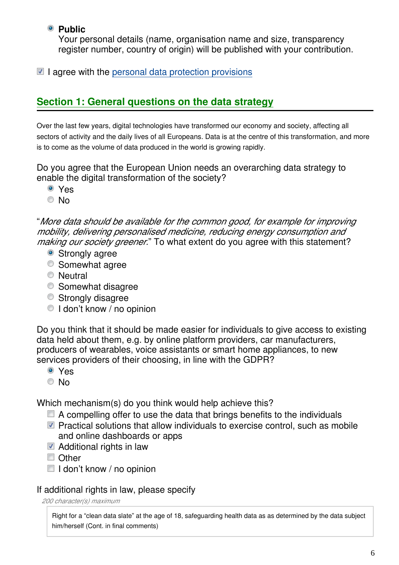# **Public**

Your personal details (name, organisation name and size, transparency register number, country of origin) will be published with your contribution.

 $\blacksquare$  I agree with the [personal data protection provisions](https://ec.europa.eu/info/law/better-regulation/specific-privacy-statement_en)

# **Section 1: General questions on the data strategy**

Over the last few years, digital technologies have transformed our economy and society, affecting all sectors of activity and the daily lives of all Europeans. Data is at the centre of this transformation, and more is to come as the volume of data produced in the world is growing rapidly.

Do you agree that the European Union needs an overarching data strategy to enable the digital transformation of the society?

- Yes
- © No

"*More data should be available for the common good, for example for improving mobility, delivering personalised medicine, reducing energy consumption and making our society greener.*" To what extent do you agree with this statement?

- Strongly agree
- Somewhat agree
- **Neutral**
- **Somewhat disagree**
- Strongly disagree
- $\bullet$  I don't know / no opinion

Do you think that it should be made easier for individuals to give access to existing data held about them, e.g. by online platform providers, car manufacturers, producers of wearables, voice assistants or smart home appliances, to new services providers of their choosing, in line with the GDPR?

- Yes
- © No

Which mechanism(s) do you think would help achieve this?

- $\blacksquare$  A compelling offer to use the data that brings benefits to the individuals
- $\blacksquare$  Practical solutions that allow individuals to exercise control, such as mobile and online dashboards or apps
- $\blacksquare$  Additional rights in law
- Other
- $\Box$  I don't know / no opinion

# If additional rights in law, please specify

*200 character(s) maximum*

Right for a "clean data slate" at the age of 18, safeguarding health data as as determined by the data subject him/herself (Cont. in final comments)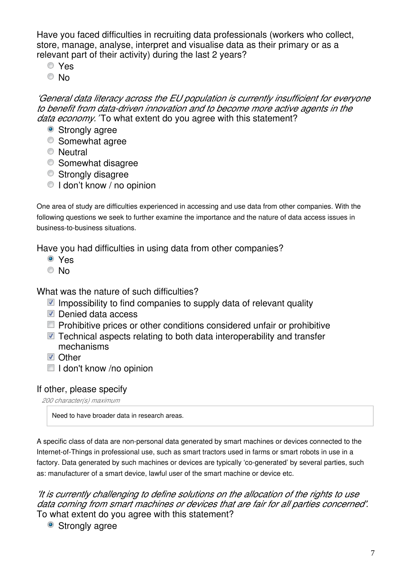Have you faced difficulties in recruiting data professionals (workers who collect, store, manage, analyse, interpret and visualise data as their primary or as a relevant part of their activity) during the last 2 years?

- Yes
- © No

*'General data literacy across the EU population is currently insufficient for everyone to benefit from data-driven innovation and to become more active agents in the data economy.'* To what extent do you agree with this statement?

- Strongly agree
- Somewhat agree
- **Neutral**
- **Somewhat disagree**
- Strongly disagree
- I don't know / no opinion

One area of study are difficulties experienced in accessing and use data from other companies. With the following questions we seek to further examine the importance and the nature of data access issues in business-to-business situations.

Have you had difficulties in using data from other companies?

- Yes
- © No

What was the nature of such difficulties?

- $\blacksquare$  Impossibility to find companies to supply data of relevant quality
- Denied data access
- **Prohibitive prices or other conditions considered unfair or prohibitive**
- Technical aspects relating to both data interoperability and transfer mechanisms
- **D** Other
- $\Box$  I don't know /no opinion

# If other, please specify

*200 character(s) maximum*

Need to have broader data in research areas.

A specific class of data are non-personal data generated by smart machines or devices connected to the Internet-of-Things in professional use, such as smart tractors used in farms or smart robots in use in a factory. Data generated by such machines or devices are typically 'co-generated' by several parties, such as: manufacturer of a smart device, lawful user of the smart machine or device etc.

*'It is currently challenging to define solutions on the allocation of the rights to use data coming from smart machines or devices that are fair for all parties concerned'*. To what extent do you agree with this statement?

• Strongly agree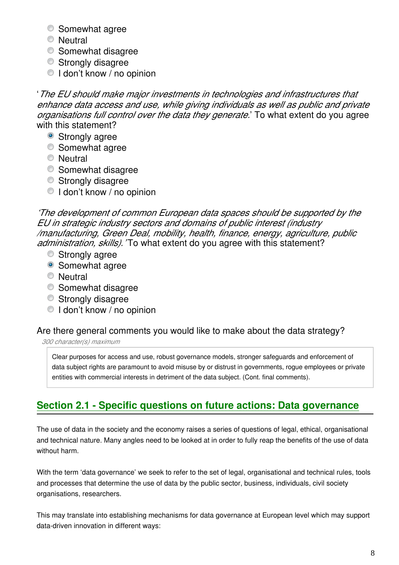- **Somewhat agree**
- **Neutral**
- **Somewhat disagree**
- Strongly disagree
- I don't know / no opinion

'*The EU should make major investments in technologies and infrastructures that enhance data access and use, while giving individuals as well as public and private organisations full control over the data they generate.*' To what extent do you agree with this statement?

- Strongly agree
- **Somewhat agree**
- **Neutral**
- **Somewhat disagree**
- Strongly disagree
- $\bullet$  I don't know / no opinion

*'The development of common European data spaces should be supported by the EU in strategic industry sectors and domains of public interest (industry /manufacturing, Green Deal, mobility, health, finance, energy, agriculture, public administration, skills).'* To what extent do you agree with this statement?

- Strongly agree
- Somewhat agree
- **Neutral**
- **Somewhat disagree**
- Strongly disagree
- I don't know / no opinion

# Are there general comments you would like to make about the data strategy?

*300 character(s) maximum*

Clear purposes for access and use, robust governance models, stronger safeguards and enforcement of data subject rights are paramount to avoid misuse by or distrust in governments, rogue employees or private entities with commercial interests in detriment of the data subject. (Cont. final comments).

# **Section 2.1 - Specific questions on future actions: Data governance**

The use of data in the society and the economy raises a series of questions of legal, ethical, organisational and technical nature. Many angles need to be looked at in order to fully reap the benefits of the use of data without harm.

With the term 'data governance' we seek to refer to the set of legal, organisational and technical rules, tools and processes that determine the use of data by the public sector, business, individuals, civil society organisations, researchers.

This may translate into establishing mechanisms for data governance at European level which may support data-driven innovation in different ways: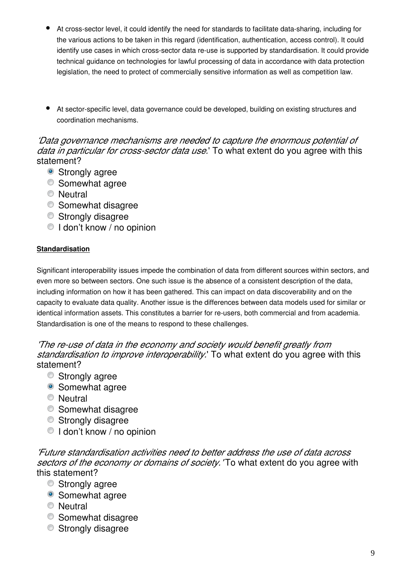- At cross-sector level, it could identify the need for standards to facilitate data-sharing, including for the various actions to be taken in this regard (identification, authentication, access control). It could identify use cases in which cross-sector data re-use is supported by standardisation. It could provide technical guidance on technologies for lawful processing of data in accordance with data protection legislation, the need to protect of commercially sensitive information as well as competition law.
- At sector-specific level, data governance could be developed, building on existing structures and coordination mechanisms.

*'Data governance mechanisms are needed to capture the enormous potential of data in particular for cross-sector data use.*' To what extent do you agree with this statement?

- Strongly agree
- **Somewhat agree**
- **Neutral**
- Somewhat disagree
- Strongly disagree
- $\bullet$  I don't know / no opinion

#### **Standardisation**

Significant interoperability issues impede the combination of data from different sources within sectors, and even more so between sectors. One such issue is the absence of a consistent description of the data, including information on how it has been gathered. This can impact on data discoverability and on the capacity to evaluate data quality. Another issue is the differences between data models used for similar or identical information assets. This constitutes a barrier for re-users, both commercial and from academia. Standardisation is one of the means to respond to these challenges.

*'The re-use of data in the economy and society would benefit greatly from standardisation to improve interoperability.*' To what extent do you agree with this statement?

- **■** Strongly agree
- Somewhat agree
- **Neutral**
- Somewhat disagree
- Strongly disagree
- I don't know / no opinion

*'Future standardisation activities need to better address the use of data across sectors of the economy or domains of society.'* To what extent do you agree with this statement?

- Strongly agree
- Somewhat agree
- **Neutral**
- **Somewhat disagree**
- **Strongly disagree**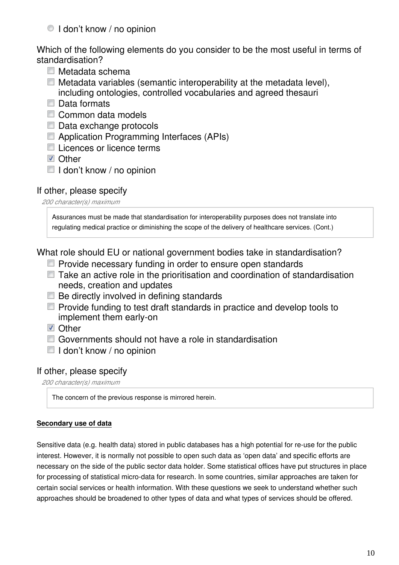#### $\bullet$  I don't know / no opinion

Which of the following elements do you consider to be the most useful in terms of standardisation?

- Metadata schema
- $\Box$  Metadata variables (semantic interoperability at the metadata level), including ontologies, controlled vocabularies and agreed thesauri
- Data formats
- Common data models
- Data exchange protocols
- **E** Application Programming Interfaces (APIs)
- Licences or licence terms
- **V** Other
- $\blacksquare$  I don't know / no opinion

#### If other, please specify

*200 character(s) maximum*

Assurances must be made that standardisation for interoperability purposes does not translate into regulating medical practice or diminishing the scope of the delivery of healthcare services. (Cont.)

What role should EU or national government bodies take in standardisation?

- $\blacksquare$  Provide necessary funding in order to ensure open standards
- Take an active role in the prioritisation and coordination of standardisation needs, creation and updates
- $\Box$  Be directly involved in defining standards
- **Provide funding to test draft standards in practice and develop tools to** implement them early-on
- **V** Other
- Governments should not have a role in standardisation
- $\blacksquare$  I don't know / no opinion

#### If other, please specify

*200 character(s) maximum*

The concern of the previous response is mirrored herein.

#### **Secondary use of data**

Sensitive data (e.g. health data) stored in public databases has a high potential for re-use for the public interest. However, it is normally not possible to open such data as 'open data' and specific efforts are necessary on the side of the public sector data holder. Some statistical offices have put structures in place for processing of statistical micro-data for research. In some countries, similar approaches are taken for certain social services or health information. With these questions we seek to understand whether such approaches should be broadened to other types of data and what types of services should be offered.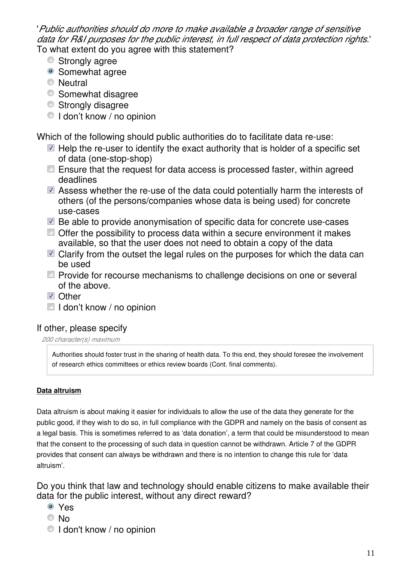'*Public authorities should do more to make available a broader range of sensitive data for R&I purposes for the public interest, in full respect of data protection rights.*' To what extent do you agree with this statement?

- **■** Strongly agree
- Somewhat agree
- **Neutral**
- **Somewhat disagree**
- Strongly disagree
- I don't know / no opinion

Which of the following should public authorities do to facilitate data re-use:

- $\blacksquare$  Help the re-user to identify the exact authority that is holder of a specific set of data (one-stop-shop)
- $\blacksquare$  Ensure that the request for data access is processed faster, within agreed deadlines
- Assess whether the re-use of the data could potentially harm the interests of others (of the persons/companies whose data is being used) for concrete use-cases
- Be able to provide anonymisation of specific data for concrete use-cases
- Offer the possibility to process data within a secure environment it makes available, so that the user does not need to obtain a copy of the data
- Clarify from the outset the legal rules on the purposes for which the data can be used
- Provide for recourse mechanisms to challenge decisions on one or several of the above.
- **■** Other
- $\blacksquare$  I don't know / no opinion

# If other, please specify

#### *200 character(s) maximum*

Authorities should foster trust in the sharing of health data. To this end, they should foresee the involvement of research ethics committees or ethics review boards (Cont. final comments).

# **Data altruism**

Data altruism is about making it easier for individuals to allow the use of the data they generate for the public good, if they wish to do so, in full compliance with the GDPR and namely on the basis of consent as a legal basis. This is sometimes referred to as 'data donation', a term that could be misunderstood to mean that the consent to the processing of such data in question cannot be withdrawn. Article 7 of the GDPR provides that consent can always be withdrawn and there is no intention to change this rule for 'data altruism'.

Do you think that law and technology should enable citizens to make available their data for the public interest, without any direct reward?

- Yes
- © No
- $\bullet$  I don't know / no opinion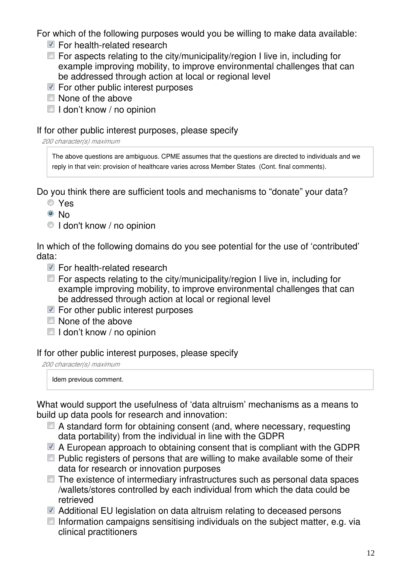For which of the following purposes would you be willing to make data available:

- For health-related research
- $\Box$  For aspects relating to the city/municipality/region I live in, including for example improving mobility, to improve environmental challenges that can be addressed through action at local or regional level
- $\blacksquare$  For other public interest purposes
- $\Box$  None of the above
- $\Box$  I don't know / no opinion

# If for other public interest purposes, please specify

*200 character(s) maximum*

The above questions are ambiguous. CPME assumes that the questions are directed to individuals and we reply in that vein: provision of healthcare varies across Member States (Cont. final comments).

Do you think there are sufficient tools and mechanisms to "donate" your data?

- Yes
- ® No
- I don't know / no opinion

In which of the following domains do you see potential for the use of 'contributed' data:

- For health-related research
- $\Box$  For aspects relating to the city/municipality/region I live in, including for example improving mobility, to improve environmental challenges that can be addressed through action at local or regional level
- $\blacksquare$  For other public interest purposes
- $\Box$  None of the above
- $\blacksquare$  I don't know / no opinion

# If for other public interest purposes, please specify

*200 character(s) maximum*

Idem previous comment.

What would support the usefulness of 'data altruism' mechanisms as a means to build up data pools for research and innovation:

- A standard form for obtaining consent (and, where necessary, requesting data portability) from the individual in line with the GDPR
- $\blacksquare$  A European approach to obtaining consent that is compliant with the GDPR
- $\Box$  Public registers of persons that are willing to make available some of their data for research or innovation purposes
- $\Box$  The existence of intermediary infrastructures such as personal data spaces /wallets/stores controlled by each individual from which the data could be retrieved
- Additional EU legislation on data altruism relating to deceased persons
- $\Box$  Information campaigns sensitising individuals on the subject matter, e.g. via clinical practitioners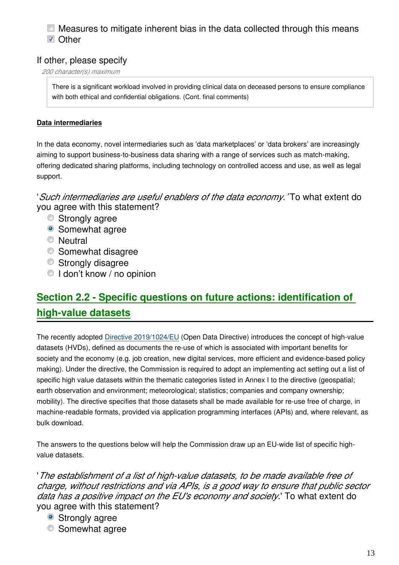## $\Box$  Measures to mitigate inherent bias in the data collected through this means **Z** Other

# If other, please specify

*200 character(s) maximum*

There is a significant workload involved in providing clinical data on deceased persons to ensure compliance with both ethical and confidential obligations. (Cont. final comments)

#### **Data intermediaries**

In the data economy, novel intermediaries such as 'data marketplaces' or 'data brokers' are increasingly aiming to support business-to-business data sharing with a range of services such as match-making, offering dedicated sharing platforms, including technology on controlled access and use, as well as legal support.

'*Such intermediaries are useful enablers of the data economy.'* To what extent do you agree with this statement?

- **Strongly agree**
- Somewhat agree
- **Neutral**
- **Somewhat disagree**
- **Strongly disagree**
- I don't know / no opinion

# **Section 2.2 - Specific questions on future actions: identification of high-value datasets**

The recently adopted [Directive 2019/1024/EU](https://ec.europa.eu/digital-single-market/en/european-legislation-reuse-public-sector-information) (Open Data Directive) introduces the concept of high-value datasets (HVDs), defined as documents the re-use of which is associated with important benefits for society and the economy (e.g. job creation, new digital services, more efficient and evidence-based policy making). Under the directive, the Commission is required to adopt an implementing act setting out a list of specific high value datasets within the thematic categories listed in Annex I to the directive (geospatial; earth observation and environment; meteorological; statistics; companies and company ownership; mobility). The directive specifies that those datasets shall be made available for re-use free of charge, in machine-readable formats, provided via application programming interfaces (APIs) and, where relevant, as bulk download.

The answers to the questions below will help the Commission draw up an EU-wide list of specific highvalue datasets.

'*The establishment of a list of high-value datasets, to be made available free of charge, without restrictions and via APIs, is a good way to ensure that public sector data has a positive impact on the EU's economy and society.*' To what extent do you agree with this statement?

- Strongly agree
- Somewhat agree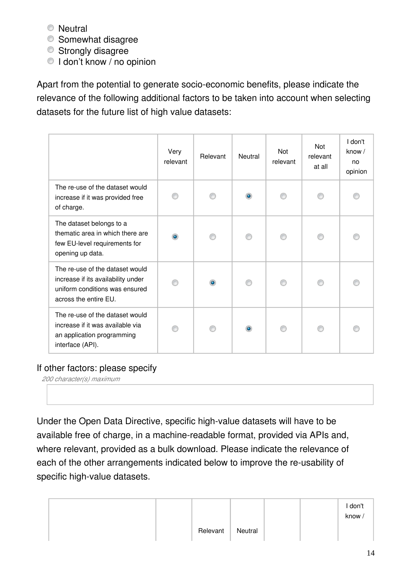- **Neutral**
- Somewhat disagree
- Strongly disagree
- I don't know / no opinion

Apart from the potential to generate socio-economic benefits, please indicate the relevance of the following additional factors to be taken into account when selecting datasets for the future list of high value datasets:

|                                                                                                                                  | Very<br>relevant | Relevant  | <b>Neutral</b> | <b>Not</b><br>relevant | Not<br>relevant<br>at all | I don't<br>know $/$<br>no<br>opinion |
|----------------------------------------------------------------------------------------------------------------------------------|------------------|-----------|----------------|------------------------|---------------------------|--------------------------------------|
| The re-use of the dataset would<br>increase if it was provided free<br>of charge.                                                |                  |           | $\bullet$      |                        |                           |                                      |
| The dataset belongs to a<br>thematic area in which there are<br>few EU-level requirements for<br>opening up data.                | ۰                |           |                |                        |                           |                                      |
| The re-use of the dataset would<br>increase if its availability under<br>uniform conditions was ensured<br>across the entire EU. |                  | $\bullet$ |                |                        |                           |                                      |
| The re-use of the dataset would<br>increase if it was available via<br>an application programming<br>interface (API).            |                  |           | $\bullet$      |                        |                           |                                      |

# If other factors: please specify

*200 character(s) maximum*

Under the Open Data Directive, specific high-value datasets will have to be available free of charge, in a machine-readable format, provided via APIs and, where relevant, provided as a bulk download. Please indicate the relevance of each of the other arrangements indicated below to improve the re-usability of specific high-value datasets.

|  |          |         |  | I don't<br>know/ |
|--|----------|---------|--|------------------|
|  | Relevant | Neutral |  |                  |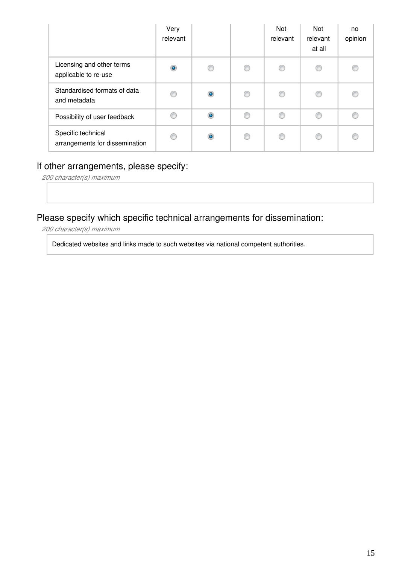|                                                      | Very<br>relevant |           |   | Not<br>relevant | <b>Not</b><br>relevant<br>at all | no<br>opinion |
|------------------------------------------------------|------------------|-----------|---|-----------------|----------------------------------|---------------|
| Licensing and other terms<br>applicable to re-use    | $\bullet$        |           | ⊙ | ⊙               | C                                |               |
| Standardised formats of data<br>and metadata         | €                | $\bullet$ | ⊙ | ⊙               | €                                | €             |
| Possibility of user feedback                         | €                | $\bullet$ | ∩ | ∩               | ◎                                |               |
| Specific technical<br>arrangements for dissemination | ⋒                |           | ⋒ | ⋒               | €                                |               |

# If other arrangements, please specify:

*200 character(s) maximum*

# Please specify which specific technical arrangements for dissemination:

*200 character(s) maximum*

Dedicated websites and links made to such websites via national competent authorities.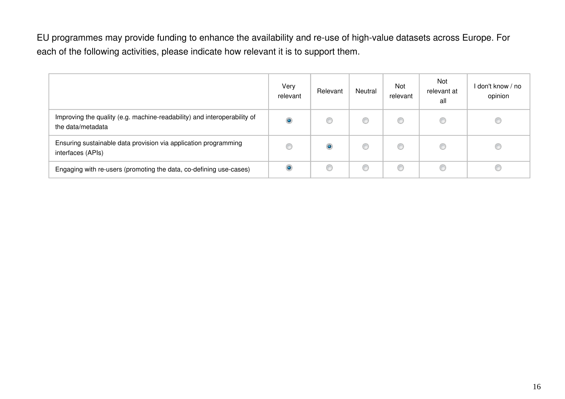EU programmes may provide funding to enhance the availability and re-use of high-value datasets across Europe. For each of the following activities, please indicate how relevant it is to support them.

|                                                                                               | Very<br>relevant | Relevant | Neutral | <b>Not</b><br>relevant | Not<br>relevant at<br>all | don't know / no<br>opinion |
|-----------------------------------------------------------------------------------------------|------------------|----------|---------|------------------------|---------------------------|----------------------------|
| Improving the quality (e.g. machine-readability) and interoperability of<br>the data/metadata | $\bullet$        | O        |         | €                      | 6                         | œ                          |
| Ensuring sustainable data provision via application programming<br>interfaces (APIs)          |                  | ۱        |         | €                      | O                         |                            |
| Engaging with re-users (promoting the data, co-defining use-cases)                            | $\bullet$        | C        | C       | C                      | œ                         |                            |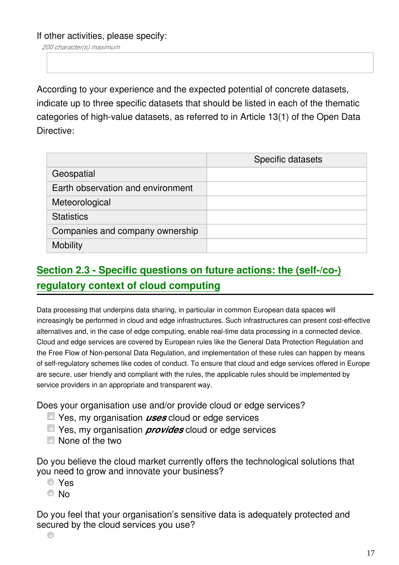If other activities, please specify:

*200 character(s) maximum*

According to your experience and the expected potential of concrete datasets, indicate up to three specific datasets that should be listed in each of the thematic categories of high-value datasets, as referred to in Article 13(1) of the Open Data Directive:

|                                   | Specific datasets |
|-----------------------------------|-------------------|
| Geospatial                        |                   |
| Earth observation and environment |                   |
| Meteorological                    |                   |
| <b>Statistics</b>                 |                   |
| Companies and company ownership   |                   |
| <b>Mobility</b>                   |                   |

# **Section 2.3 - Specific questions on future actions: the (self-/co-) regulatory context of cloud computing**

Data processing that underpins data sharing, in particular in common European data spaces will increasingly be performed in cloud and edge infrastructures. Such infrastructures can present cost-effective alternatives and, in the case of edge computing, enable real-time data processing in a connected device. Cloud and edge services are covered by European rules like the General Data Protection Regulation and the Free Flow of Non-personal Data Regulation, and implementation of these rules can happen by means of self-regulatory schemes like codes of conduct. To ensure that cloud and edge services offered in Europe are secure, user friendly and compliant with the rules, the applicable rules should be implemented by service providers in an appropriate and transparent way.

Does your organisation use and/or provide cloud or edge services?

- Yes, my organisation *uses* cloud or edge services
- Yes, my organisation *provides* cloud or edge services
- None of the two

Do you believe the cloud market currently offers the technological solutions that you need to grow and innovate your business?

- Yes
- © No

Do you feel that your organisation's sensitive data is adequately protected and secured by the cloud services you use?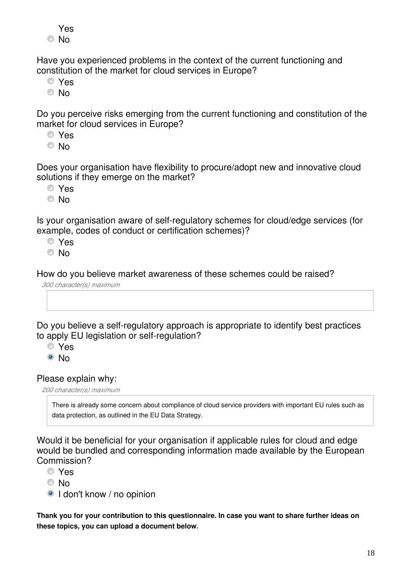Yes © No

Have you experienced problems in the context of the current functioning and constitution of the market for cloud services in Europe?

- Yes
- © No

Do you perceive risks emerging from the current functioning and constitution of the market for cloud services in Europe?

- Yes
- © No

Does your organisation have flexibility to procure/adopt new and innovative cloud solutions if they emerge on the market?

- Yes
- © No

Is your organisation aware of self-regulatory schemes for cloud/edge services (for example, codes of conduct or certification schemes)?

- Yes
- © No

How do you believe market awareness of these schemes could be raised?

```
300 character(s) maximum
```
Do you believe a self-regulatory approach is appropriate to identify best practices to apply EU legislation or self-regulation?

- Yes
- © No

Please explain why:

*200 character(s) maximum*

There is already some concern about compliance of cloud service providers with important EU rules such as data protection, as outlined in the EU Data Strategy.

Would it be beneficial for your organisation if applicable rules for cloud and edge would be bundled and corresponding information made available by the European Commission?

- Yes
- © No
- <sup>O</sup> I don't know / no opinion

**Thank you for your contribution to this questionnaire. In case you want to share further ideas on these topics, you can upload a document below.**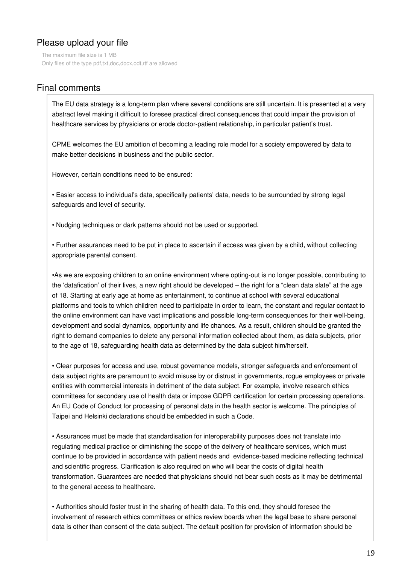# Please upload your file

The maximum file size is 1 MB Only files of the type pdf,txt,doc,docx,odt,rtf are allowed

# Final comments

The EU data strategy is a long-term plan where several conditions are still uncertain. It is presented at a very abstract level making it difficult to foresee practical direct consequences that could impair the provision of healthcare services by physicians or erode doctor-patient relationship, in particular patient's trust.

CPME welcomes the EU ambition of becoming a leading role model for a society empowered by data to make better decisions in business and the public sector.

However, certain conditions need to be ensured:

• Easier access to individual's data, specifically patients' data, needs to be surrounded by strong legal safeguards and level of security.

• Nudging techniques or dark patterns should not be used or supported.

• Further assurances need to be put in place to ascertain if access was given by a child, without collecting appropriate parental consent.

•As we are exposing children to an online environment where opting-out is no longer possible, contributing to the 'datafication' of their lives, a new right should be developed – the right for a "clean data slate" at the age of 18. Starting at early age at home as entertainment, to continue at school with several educational platforms and tools to which children need to participate in order to learn, the constant and regular contact to the online environment can have vast implications and possible long-term consequences for their well-being, development and social dynamics, opportunity and life chances. As a result, children should be granted the right to demand companies to delete any personal information collected about them, as data subjects, prior to the age of 18, safeguarding health data as determined by the data subject him/herself.

• Clear purposes for access and use, robust governance models, stronger safeguards and enforcement of data subject rights are paramount to avoid misuse by or distrust in governments, rogue employees or private entities with commercial interests in detriment of the data subject. For example, involve research ethics committees for secondary use of health data or impose GDPR certification for certain processing operations. An EU Code of Conduct for processing of personal data in the health sector is welcome. The principles of Taipei and Helsinki declarations should be embedded in such a Code.

• Assurances must be made that standardisation for interoperability purposes does not translate into regulating medical practice or diminishing the scope of the delivery of healthcare services, which must continue to be provided in accordance with patient needs and evidence-based medicine reflecting technical and scientific progress. Clarification is also required on who will bear the costs of digital health transformation. Guarantees are needed that physicians should not bear such costs as it may be detrimental to the general access to healthcare.

• Authorities should foster trust in the sharing of health data. To this end, they should foresee the involvement of research ethics committees or ethics review boards when the legal base to share personal data is other than consent of the data subject. The default position for provision of information should be